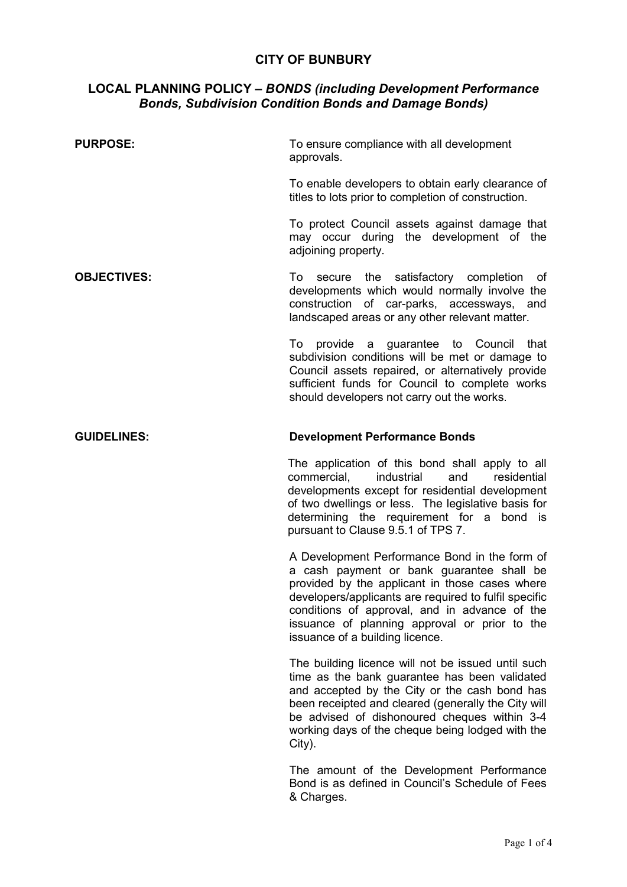# **CITY OF BUNBURY**

## **LOCAL PLANNING POLICY** *– BONDS (including Development Performance Bonds, Subdivision Condition Bonds and Damage Bonds)*

| <b>PURPOSE:</b>    | To ensure compliance with all development<br>approvals.                                                                                                                                                                                                                                                                                    |
|--------------------|--------------------------------------------------------------------------------------------------------------------------------------------------------------------------------------------------------------------------------------------------------------------------------------------------------------------------------------------|
|                    | To enable developers to obtain early clearance of<br>titles to lots prior to completion of construction.                                                                                                                                                                                                                                   |
|                    | To protect Council assets against damage that<br>may occur during the development of the<br>adjoining property.                                                                                                                                                                                                                            |
| <b>OBJECTIVES:</b> | secure the satisfactory completion<br>To<br>of<br>developments which would normally involve the<br>construction of car-parks, accessways, and<br>landscaped areas or any other relevant matter.                                                                                                                                            |
|                    | To provide a guarantee to Council that<br>subdivision conditions will be met or damage to<br>Council assets repaired, or alternatively provide<br>sufficient funds for Council to complete works<br>should developers not carry out the works.                                                                                             |
| <b>GUIDELINES:</b> | <b>Development Performance Bonds</b>                                                                                                                                                                                                                                                                                                       |
|                    | The application of this bond shall apply to all<br>industrial<br>commercial,<br>and<br>residential<br>developments except for residential development<br>of two dwellings or less. The legislative basis for<br>determining the requirement for a bond is<br>pursuant to Clause 9.5.1 of TPS 7.                                            |
|                    | A Development Performance Bond in the form of<br>a cash payment or bank guarantee shall be<br>provided by the applicant in those cases where<br>developers/applicants are required to fulfil specific<br>conditions of approval, and in advance of the<br>issuance of planning approval or prior to the<br>issuance of a building licence. |
|                    | The building licence will not be issued until such<br>time as the bank guarantee has been validated<br>and accepted by the City or the cash bond has<br>been receipted and cleared (generally the City will<br>be advised of dishonoured cheques within 3-4<br>working days of the cheque being lodged with the<br>City).                  |
|                    | The amount of the Development Performance<br>Bond is as defined in Council's Schedule of Fees<br>& Charges.                                                                                                                                                                                                                                |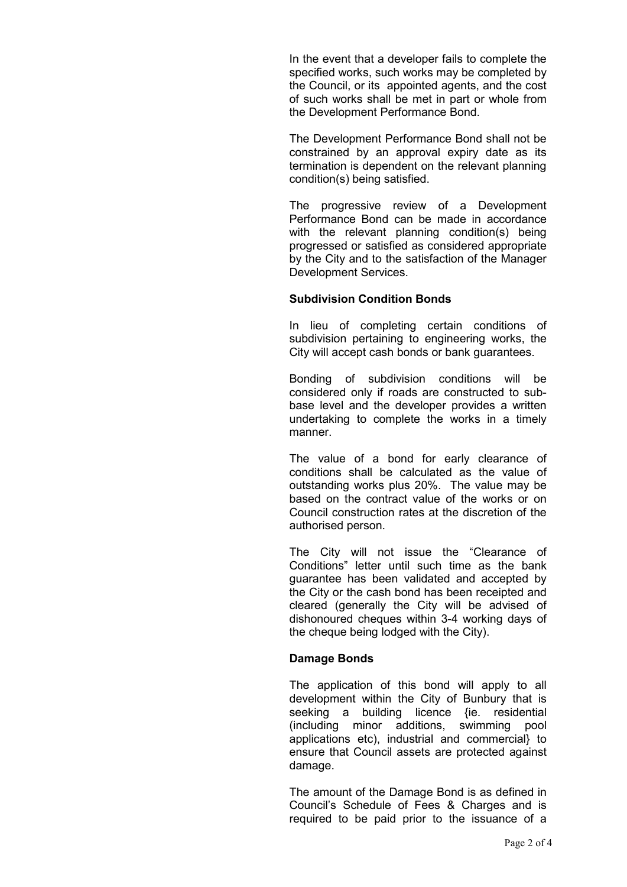In the event that a developer fails to complete the specified works, such works may be completed by the Council, or its appointed agents, and the cost of such works shall be met in part or whole from the Development Performance Bond.

The Development Performance Bond shall not be constrained by an approval expiry date as its termination is dependent on the relevant planning condition(s) being satisfied.

The progressive review of a Development Performance Bond can be made in accordance with the relevant planning condition(s) being progressed or satisfied as considered appropriate by the City and to the satisfaction of the Manager Development Services.

#### **Subdivision Condition Bonds**

In lieu of completing certain conditions of subdivision pertaining to engineering works, the City will accept cash bonds or bank guarantees.

Bonding of subdivision conditions will be considered only if roads are constructed to subbase level and the developer provides a written undertaking to complete the works in a timely manner.

The value of a bond for early clearance of conditions shall be calculated as the value of outstanding works plus 20%. The value may be based on the contract value of the works or on Council construction rates at the discretion of the authorised person.

The City will not issue the "Clearance of Conditions" letter until such time as the bank guarantee has been validated and accepted by the City or the cash bond has been receipted and cleared (generally the City will be advised of dishonoured cheques within 3-4 working days of the cheque being lodged with the City).

### **Damage Bonds**

The application of this bond will apply to all development within the City of Bunbury that is seeking a building licence {ie. residential (including minor additions, swimming pool applications etc), industrial and commercial} to ensure that Council assets are protected against damage.

The amount of the Damage Bond is as defined in Council's Schedule of Fees & Charges and is required to be paid prior to the issuance of a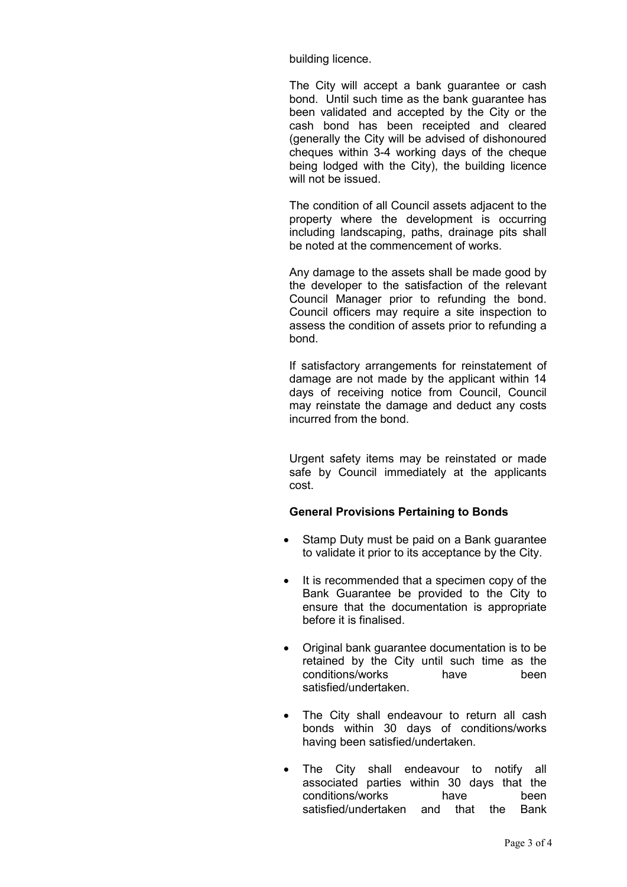building licence.

The City will accept a bank guarantee or cash bond. Until such time as the bank guarantee has been validated and accepted by the City or the cash bond has been receipted and cleared (generally the City will be advised of dishonoured cheques within 3-4 working days of the cheque being lodged with the City), the building licence will not be issued.

The condition of all Council assets adjacent to the property where the development is occurring including landscaping, paths, drainage pits shall be noted at the commencement of works.

Any damage to the assets shall be made good by the developer to the satisfaction of the relevant Council Manager prior to refunding the bond. Council officers may require a site inspection to assess the condition of assets prior to refunding a bond.

If satisfactory arrangements for reinstatement of damage are not made by the applicant within 14 days of receiving notice from Council, Council may reinstate the damage and deduct any costs incurred from the bond.

Urgent safety items may be reinstated or made safe by Council immediately at the applicants cost.

## **General Provisions Pertaining to Bonds**

- Stamp Duty must be paid on a Bank guarantee to validate it prior to its acceptance by the City.
- It is recommended that a specimen copy of the Bank Guarantee be provided to the City to ensure that the documentation is appropriate before it is finalised.
- Original bank guarantee documentation is to be retained by the City until such time as the conditions/works have been conditions/works have satisfied/undertaken.
- The City shall endeavour to return all cash bonds within 30 days of conditions/works having been satisfied/undertaken.
- The City shall endeavour to notify all associated parties within 30 days that the conditions/works have been satisfied/undertaken and that the Bank